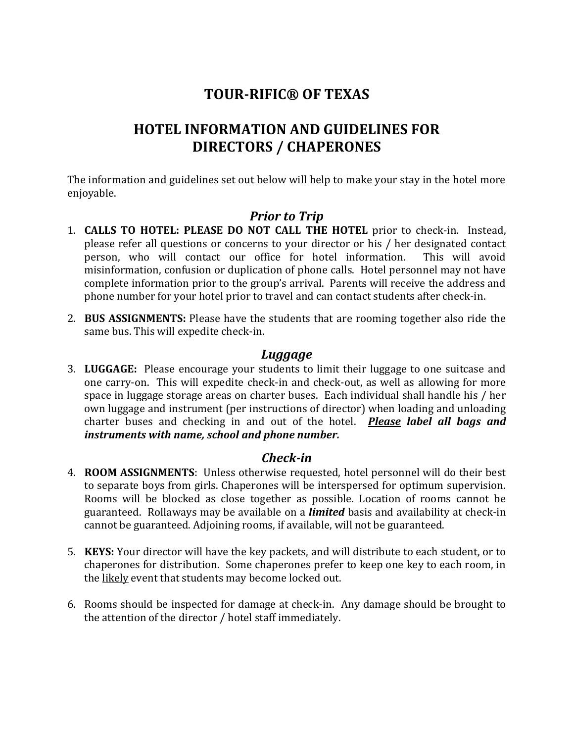# **TOUR-RIFIC® OF TEXAS**

# **HOTEL INFORMATION AND GUIDELINES FOR DIRECTORS / CHAPERONES**

The information and guidelines set out below will help to make your stay in the hotel more enjoyable.

# *Prior to Trip*

- 1. **CALLS TO HOTEL: PLEASE DO NOT CALL THE HOTEL** prior to check-in. Instead, please refer all questions or concerns to your director or his / her designated contact person, who will contact our office for hotel information. This will avoid misinformation, confusion or duplication of phone calls. Hotel personnel may not have complete information prior to the group's arrival. Parents will receive the address and phone number for your hotel prior to travel and can contact students after check-in.
- 2. **BUS ASSIGNMENTS:** Please have the students that are rooming together also ride the same bus. This will expedite check-in.

# *Luggage*

3. **LUGGAGE:** Please encourage your students to limit their luggage to one suitcase and one carry-on. This will expedite check-in and check-out, as well as allowing for more space in luggage storage areas on charter buses. Each individual shall handle his / her own luggage and instrument (per instructions of director) when loading and unloading charter buses and checking in and out of the hotel. *Please label all bags and instruments with name, school and phone number.*

# *Check-in*

- 4. **ROOM ASSIGNMENTS**: Unless otherwise requested, hotel personnel will do their best to separate boys from girls. Chaperones will be interspersed for optimum supervision. Rooms will be blocked as close together as possible. Location of rooms cannot be guaranteed. Rollaways may be available on a *limited* basis and availability at check-in cannot be guaranteed. Adjoining rooms, if available, will not be guaranteed.
- 5. **KEYS:** Your director will have the key packets, and will distribute to each student, or to chaperones for distribution. Some chaperones prefer to keep one key to each room, in the likely event that students may become locked out.
- 6. Rooms should be inspected for damage at check-in. Any damage should be brought to the attention of the director / hotel staff immediately.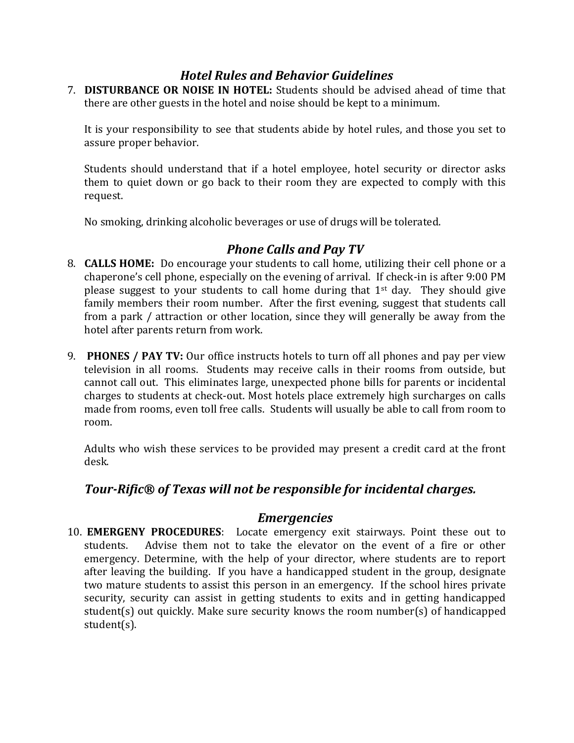# *Hotel Rules and Behavior Guidelines*

7. **DISTURBANCE OR NOISE IN HOTEL:** Students should be advised ahead of time that there are other guests in the hotel and noise should be kept to a minimum.

It is your responsibility to see that students abide by hotel rules, and those you set to assure proper behavior.

Students should understand that if a hotel employee, hotel security or director asks them to quiet down or go back to their room they are expected to comply with this request.

No smoking, drinking alcoholic beverages or use of drugs will be tolerated.

# *Phone Calls and Pay TV*

- 8. **CALLS HOME:** Do encourage your students to call home, utilizing their cell phone or a chaperone's cell phone, especially on the evening of arrival. If check-in is after 9:00 PM please suggest to your students to call home during that 1st day. They should give family members their room number. After the first evening, suggest that students call from a park / attraction or other location, since they will generally be away from the hotel after parents return from work.
- 9. **PHONES / PAY TV:** Our office instructs hotels to turn off all phones and pay per view television in all rooms. Students may receive calls in their rooms from outside, but cannot call out. This eliminates large, unexpected phone bills for parents or incidental charges to students at check-out. Most hotels place extremely high surcharges on calls made from rooms, even toll free calls. Students will usually be able to call from room to room.

Adults who wish these services to be provided may present a credit card at the front desk.

# *Tour-Rific® of Texas will not be responsible for incidental charges.*

#### *Emergencies*

10. **EMERGENY PROCEDURES**: Locate emergency exit stairways. Point these out to students. Advise them not to take the elevator on the event of a fire or other emergency. Determine, with the help of your director, where students are to report after leaving the building. If you have a handicapped student in the group, designate two mature students to assist this person in an emergency. If the school hires private security, security can assist in getting students to exits and in getting handicapped student(s) out quickly. Make sure security knows the room number(s) of handicapped student(s).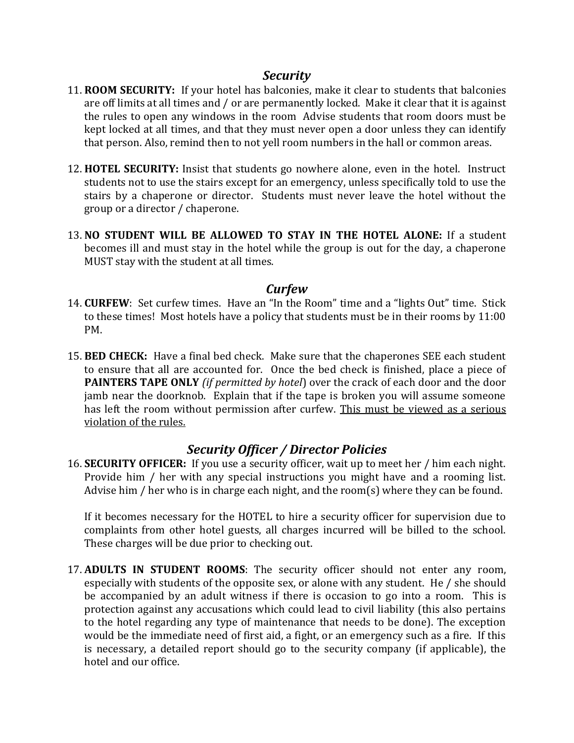# *Security*

- 11. **ROOM SECURITY:** If your hotel has balconies, make it clear to students that balconies are off limits at all times and / or are permanently locked. Make it clear that it is against the rules to open any windows in the room Advise students that room doors must be kept locked at all times, and that they must never open a door unless they can identify that person. Also, remind then to not yell room numbers in the hall or common areas.
- 12. **HOTEL SECURITY:** Insist that students go nowhere alone, even in the hotel. Instruct students not to use the stairs except for an emergency, unless specifically told to use the stairs by a chaperone or director. Students must never leave the hotel without the group or a director / chaperone.
- 13. **NO STUDENT WILL BE ALLOWED TO STAY IN THE HOTEL ALONE:** If a student becomes ill and must stay in the hotel while the group is out for the day, a chaperone MUST stay with the student at all times.

#### *Curfew*

- 14. **CURFEW**: Set curfew times. Have an "In the Room" time and a "lights Out" time. Stick to these times! Most hotels have a policy that students must be in their rooms by 11:00 PM.
- 15. **BED CHECK:** Have a final bed check. Make sure that the chaperones SEE each student to ensure that all are accounted for. Once the bed check is finished, place a piece of **PAINTERS TAPE ONLY** *(if permitted by hotel*) over the crack of each door and the door jamb near the doorknob. Explain that if the tape is broken you will assume someone has left the room without permission after curfew. This must be viewed as a serious violation of the rules.

# *Security Officer / Director Policies*

16. **SECURITY OFFICER:** If you use a security officer, wait up to meet her / him each night. Provide him / her with any special instructions you might have and a rooming list. Advise him / her who is in charge each night, and the room(s) where they can be found.

If it becomes necessary for the HOTEL to hire a security officer for supervision due to complaints from other hotel guests, all charges incurred will be billed to the school. These charges will be due prior to checking out.

17. **ADULTS IN STUDENT ROOMS**: The security officer should not enter any room, especially with students of the opposite sex, or alone with any student. He / she should be accompanied by an adult witness if there is occasion to go into a room. This is protection against any accusations which could lead to civil liability (this also pertains to the hotel regarding any type of maintenance that needs to be done). The exception would be the immediate need of first aid, a fight, or an emergency such as a fire. If this is necessary, a detailed report should go to the security company (if applicable), the hotel and our office.